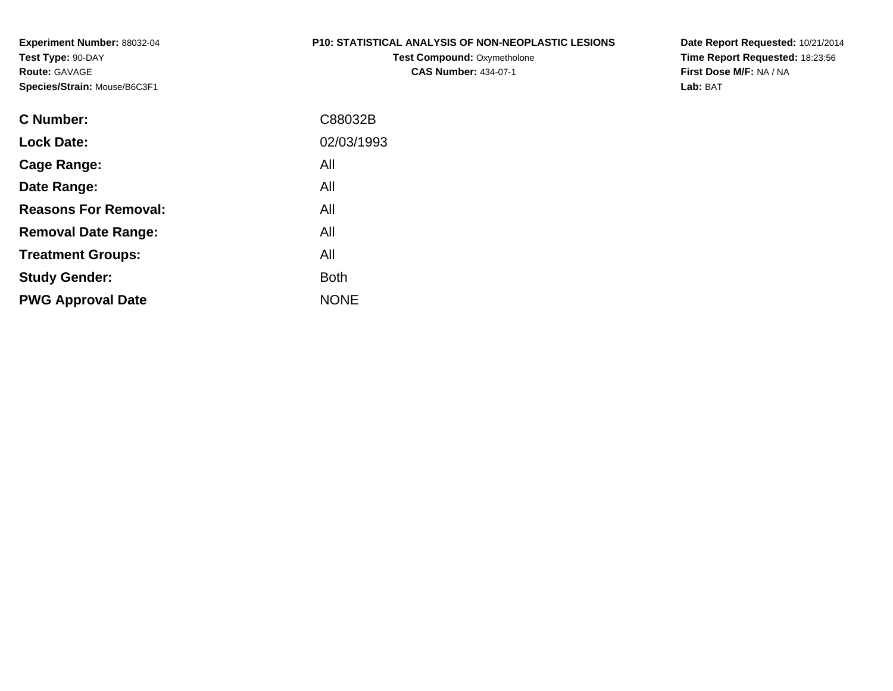#### **P10: STATISTICAL ANALYSIS OF NON-NEOPLASTIC LESIONS**

**Test Compound:** Oxymetholone**CAS Number:** 434-07-1

**Date Report Requested:** 10/21/2014 **Time Report Requested:** 18:23:56**First Dose M/F:** NA / NA**Lab:** BAT

| C Number:                   | C88032B     |
|-----------------------------|-------------|
| <b>Lock Date:</b>           | 02/03/1993  |
| Cage Range:                 | All         |
| Date Range:                 | All         |
| <b>Reasons For Removal:</b> | All         |
| <b>Removal Date Range:</b>  | All         |
| <b>Treatment Groups:</b>    | All         |
| <b>Study Gender:</b>        | <b>Both</b> |
| <b>PWG Approval Date</b>    | <b>NONE</b> |
|                             |             |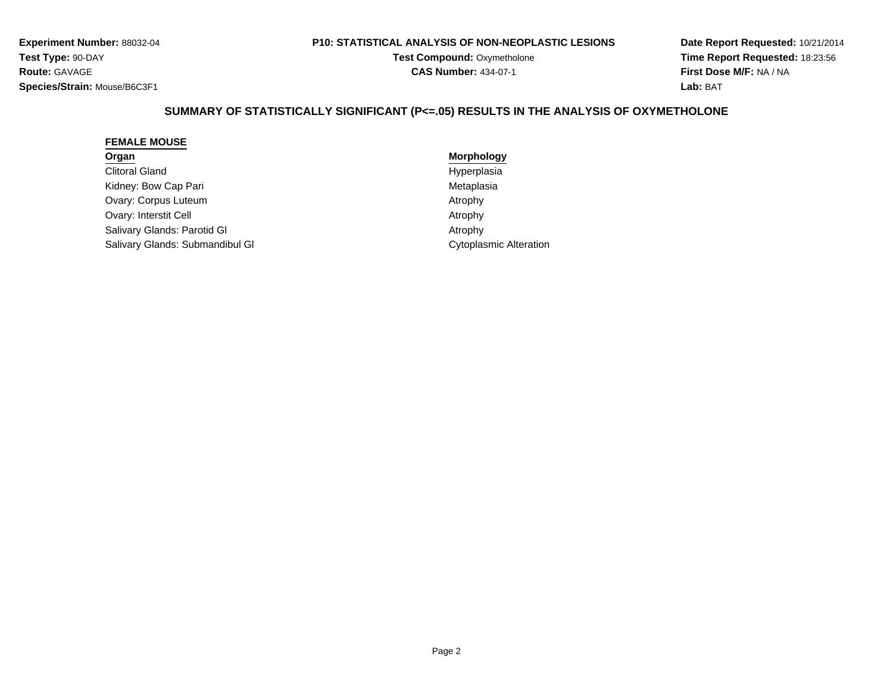#### **P10: STATISTICAL ANALYSIS OF NON-NEOPLASTIC LESIONS**

**Test Compound:** Oxymetholone**CAS Number:** 434-07-1

**Date Report Requested:** 10/21/2014**Time Report Requested:** 18:23:56**First Dose M/F:** NA / NA**Lab:** BAT

# **SUMMARY OF STATISTICALLY SIGNIFICANT (P<=.05) RESULTS IN THE ANALYSIS OF OXYMETHOLONE**

#### **FEMALE MOUSE**

# **Organ**

Clitoral GlandKidney: Bow Cap PariOvary: Corpus Luteumm Atrophy Ovary: Interstit CellSalivary Glands: Parotid GlSalivary Glands: Submandibul Gl

 **Morphology** Hyperplasia Metaplasia Atrophy**Atrophy Atrophy Cytoplasmic Alteration**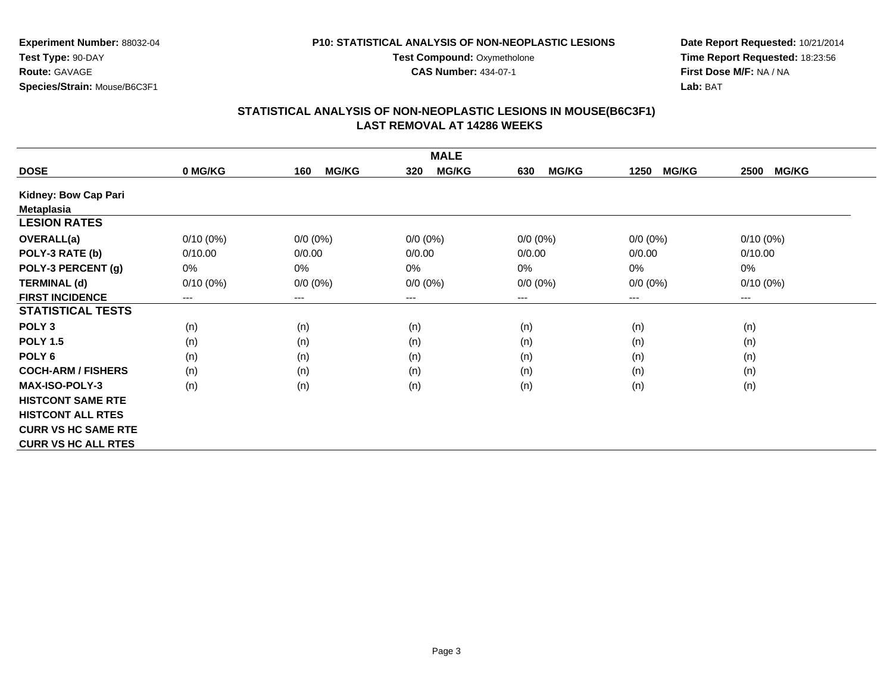**CAS Number:** 434-07-1

**Experiment Number:** 88032-04**Test Type:** 90-DAY**Route:** GAVAGE**Species/Strain:** Mouse/B6C3F1

### **Date Report Requested:** 10/21/2014 **Time Report Requested:** 18:23:56**First Dose M/F:** NA / NA**Lab:** BAT

|                            |             |                     | <b>MALE</b>                |                     |                      |                      |
|----------------------------|-------------|---------------------|----------------------------|---------------------|----------------------|----------------------|
| <b>DOSE</b>                | 0 MG/KG     | <b>MG/KG</b><br>160 | <b>MG/KG</b><br>320        | <b>MG/KG</b><br>630 | <b>MG/KG</b><br>1250 | <b>MG/KG</b><br>2500 |
| Kidney: Bow Cap Pari       |             |                     |                            |                     |                      |                      |
| <b>Metaplasia</b>          |             |                     |                            |                     |                      |                      |
| <b>LESION RATES</b>        |             |                     |                            |                     |                      |                      |
| <b>OVERALL(a)</b>          | $0/10(0\%)$ | $0/0 (0\%)$         | $0/0 (0\%)$                | $0/0 (0\%)$         | $0/0$ $(0%)$         | $0/10(0\%)$          |
| POLY-3 RATE (b)            | 0/10.00     | 0/0.00              | 0/0.00                     | 0/0.00              | 0/0.00               | 0/10.00              |
| POLY-3 PERCENT (g)         | 0%          | 0%                  | 0%                         | $0\%$               | 0%                   | 0%                   |
| <b>TERMINAL (d)</b>        | $0/10(0\%)$ | $0/0 (0\%)$         | $0/0 (0\%)$                | $0/0 (0\%)$         | $0/0 (0\%)$          | $0/10(0\%)$          |
| <b>FIRST INCIDENCE</b>     | ---         | $---$               | $\qquad \qquad - \qquad -$ | $---$               | ---                  | $---$                |
| <b>STATISTICAL TESTS</b>   |             |                     |                            |                     |                      |                      |
| POLY <sub>3</sub>          | (n)         | (n)                 | (n)                        | (n)                 | (n)                  | (n)                  |
| <b>POLY 1.5</b>            | (n)         | (n)                 | (n)                        | (n)                 | (n)                  | (n)                  |
| POLY <sub>6</sub>          | (n)         | (n)                 | (n)                        | (n)                 | (n)                  | (n)                  |
| <b>COCH-ARM / FISHERS</b>  | (n)         | (n)                 | (n)                        | (n)                 | (n)                  | (n)                  |
| <b>MAX-ISO-POLY-3</b>      | (n)         | (n)                 | (n)                        | (n)                 | (n)                  | (n)                  |
| <b>HISTCONT SAME RTE</b>   |             |                     |                            |                     |                      |                      |
| <b>HISTCONT ALL RTES</b>   |             |                     |                            |                     |                      |                      |
| <b>CURR VS HC SAME RTE</b> |             |                     |                            |                     |                      |                      |
| <b>CURR VS HC ALL RTES</b> |             |                     |                            |                     |                      |                      |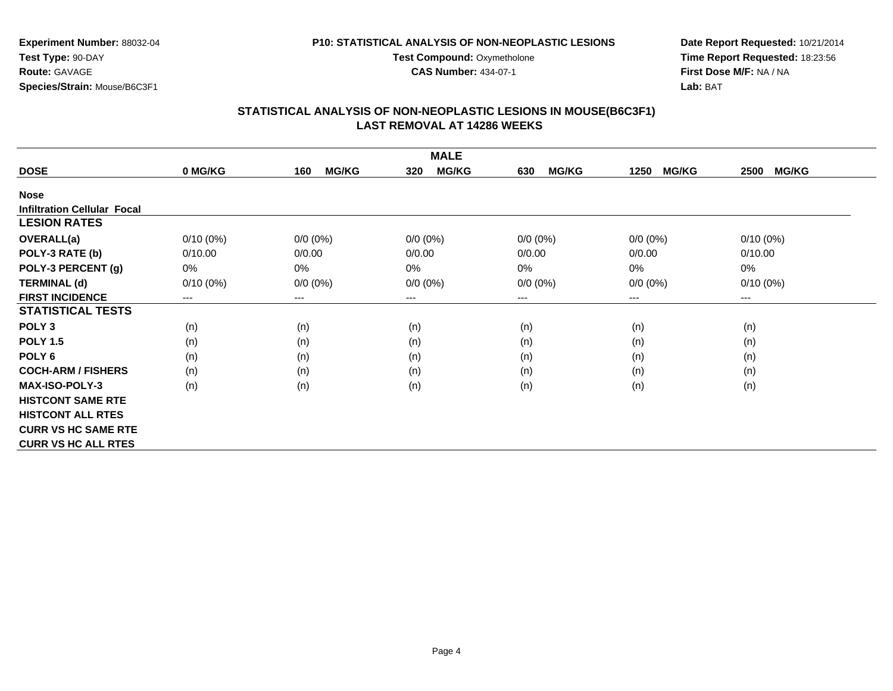**CAS Number:** 434-07-1

**Experiment Number:** 88032-04**Test Type:** 90-DAY**Route:** GAVAGE**Species/Strain:** Mouse/B6C3F1

### **Date Report Requested:** 10/21/2014 **Time Report Requested:** 18:23:56**First Dose M/F:** NA / NA**Lab:** BAT

|                                    |             |                     | <b>MALE</b>         |                     |                      |                        |
|------------------------------------|-------------|---------------------|---------------------|---------------------|----------------------|------------------------|
| <b>DOSE</b>                        | 0 MG/KG     | <b>MG/KG</b><br>160 | <b>MG/KG</b><br>320 | <b>MG/KG</b><br>630 | <b>MG/KG</b><br>1250 | <b>MG/KG</b><br>2500   |
| <b>Nose</b>                        |             |                     |                     |                     |                      |                        |
| <b>Infiltration Cellular Focal</b> |             |                     |                     |                     |                      |                        |
| <b>LESION RATES</b>                |             |                     |                     |                     |                      |                        |
| <b>OVERALL(a)</b>                  | $0/10(0\%)$ | $0/0 (0\%)$         | $0/0 (0\%)$         | $0/0 (0\%)$         | $0/0 (0\%)$          | $0/10(0\%)$            |
| POLY-3 RATE (b)                    | 0/10.00     | 0/0.00              | 0/0.00              | 0/0.00              | 0/0.00               | 0/10.00                |
| POLY-3 PERCENT (g)                 | 0%          | 0%                  | 0%                  | 0%                  | 0%                   | 0%                     |
| <b>TERMINAL (d)</b>                | $0/10(0\%)$ | $0/0 (0\%)$         | $0/0 (0\%)$         | $0/0 (0\%)$         | $0/0 (0\%)$          | $0/10(0\%)$            |
| <b>FIRST INCIDENCE</b>             | ---         | ---                 | $--$                | ---                 | ---                  | $\qquad \qquad \cdots$ |
| <b>STATISTICAL TESTS</b>           |             |                     |                     |                     |                      |                        |
| POLY <sub>3</sub>                  | (n)         | (n)                 | (n)                 | (n)                 | (n)                  | (n)                    |
| <b>POLY 1.5</b>                    | (n)         | (n)                 | (n)                 | (n)                 | (n)                  | (n)                    |
| POLY 6                             | (n)         | (n)                 | (n)                 | (n)                 | (n)                  | (n)                    |
| <b>COCH-ARM / FISHERS</b>          | (n)         | (n)                 | (n)                 | (n)                 | (n)                  | (n)                    |
| <b>MAX-ISO-POLY-3</b>              | (n)         | (n)                 | (n)                 | (n)                 | (n)                  | (n)                    |
| <b>HISTCONT SAME RTE</b>           |             |                     |                     |                     |                      |                        |
| <b>HISTCONT ALL RTES</b>           |             |                     |                     |                     |                      |                        |
| <b>CURR VS HC SAME RTE</b>         |             |                     |                     |                     |                      |                        |
| <b>CURR VS HC ALL RTES</b>         |             |                     |                     |                     |                      |                        |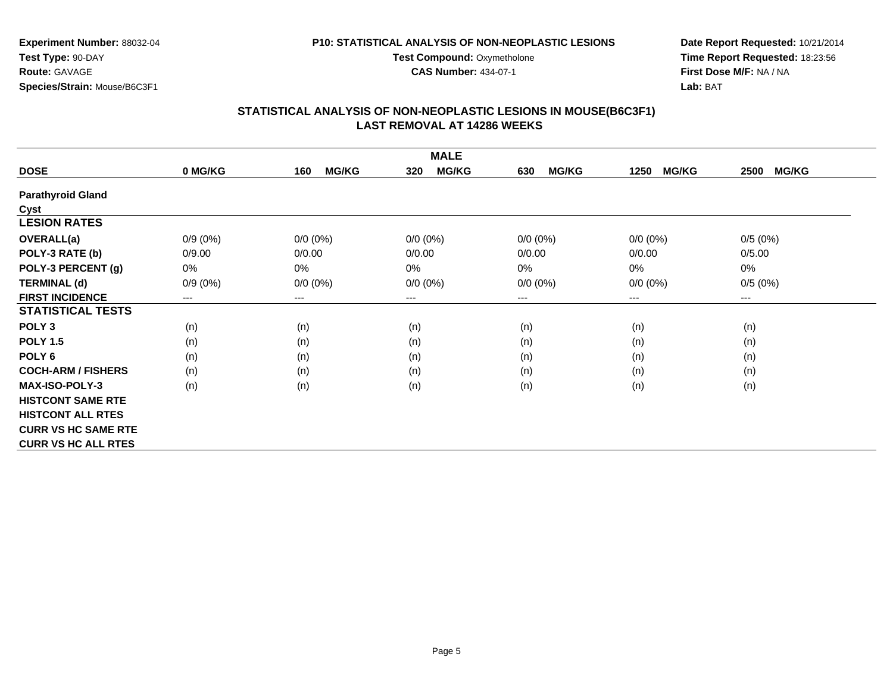**CAS Number:** 434-07-1

**Experiment Number:** 88032-04**Test Type:** 90-DAY**Route:** GAVAGE**Species/Strain:** Mouse/B6C3F1

### **Date Report Requested:** 10/21/2014 **Time Report Requested:** 18:23:56**First Dose M/F:** NA / NA**Lab:** BAT

|                            |            |                     | <b>MALE</b>         |                     |                      |                      |
|----------------------------|------------|---------------------|---------------------|---------------------|----------------------|----------------------|
| <b>DOSE</b>                | 0 MG/KG    | <b>MG/KG</b><br>160 | <b>MG/KG</b><br>320 | <b>MG/KG</b><br>630 | <b>MG/KG</b><br>1250 | <b>MG/KG</b><br>2500 |
| <b>Parathyroid Gland</b>   |            |                     |                     |                     |                      |                      |
| Cyst                       |            |                     |                     |                     |                      |                      |
| <b>LESION RATES</b>        |            |                     |                     |                     |                      |                      |
| <b>OVERALL(a)</b>          | $0/9(0\%)$ | $0/0 (0\%)$         | $0/0 (0\%)$         | $0/0 (0\%)$         | $0/0 (0\%)$          | 0/5(0%)              |
| POLY-3 RATE (b)            | 0/9.00     | 0/0.00              | 0/0.00              | 0/0.00              | 0/0.00               | 0/5.00               |
| POLY-3 PERCENT (g)         | $0\%$      | 0%                  | 0%                  | 0%                  | 0%                   | 0%                   |
| <b>TERMINAL (d)</b>        | $0/9(0\%)$ | $0/0 (0\%)$         | $0/0 (0\%)$         | $0/0 (0\%)$         | $0/0 (0\%)$          | 0/5(0%)              |
| <b>FIRST INCIDENCE</b>     | $---$      | ---                 | $---$               | $---$               | ---                  | $---$                |
| <b>STATISTICAL TESTS</b>   |            |                     |                     |                     |                      |                      |
| POLY <sub>3</sub>          | (n)        | (n)                 | (n)                 | (n)                 | (n)                  | (n)                  |
| <b>POLY 1.5</b>            | (n)        | (n)                 | (n)                 | (n)                 | (n)                  | (n)                  |
| POLY <sub>6</sub>          | (n)        | (n)                 | (n)                 | (n)                 | (n)                  | (n)                  |
| <b>COCH-ARM / FISHERS</b>  | (n)        | (n)                 | (n)                 | (n)                 | (n)                  | (n)                  |
| <b>MAX-ISO-POLY-3</b>      | (n)        | (n)                 | (n)                 | (n)                 | (n)                  | (n)                  |
| <b>HISTCONT SAME RTE</b>   |            |                     |                     |                     |                      |                      |
| <b>HISTCONT ALL RTES</b>   |            |                     |                     |                     |                      |                      |
| <b>CURR VS HC SAME RTE</b> |            |                     |                     |                     |                      |                      |
| <b>CURR VS HC ALL RTES</b> |            |                     |                     |                     |                      |                      |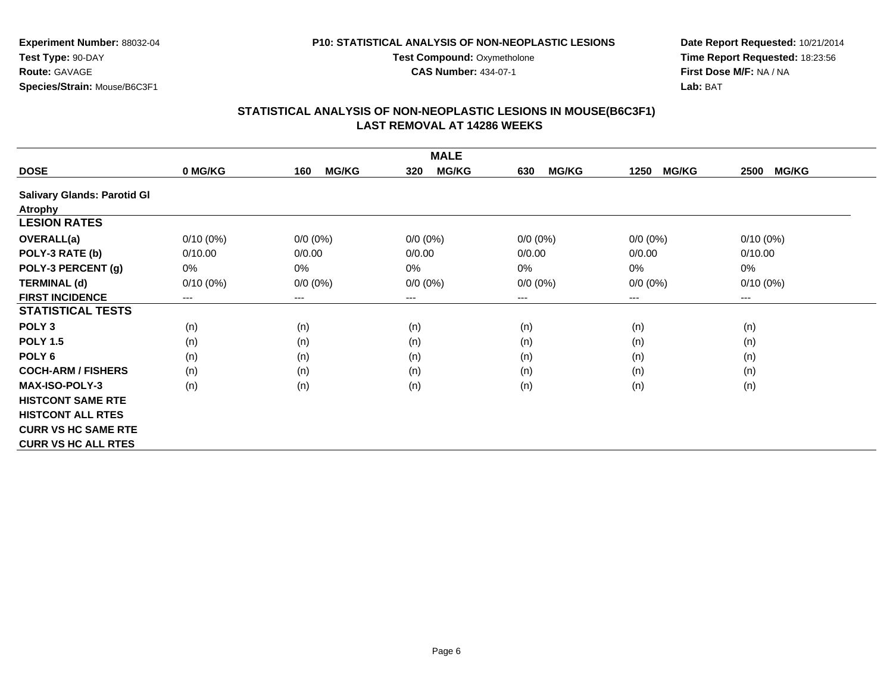**CAS Number:** 434-07-1

**Experiment Number:** 88032-04**Test Type:** 90-DAY**Route:** GAVAGE**Species/Strain:** Mouse/B6C3F1

### **Date Report Requested:** 10/21/2014 **Time Report Requested:** 18:23:56**First Dose M/F:** NA / NA**Lab:** BAT

|                                    |             |                     | <b>MALE</b>         |                     |                      |                      |
|------------------------------------|-------------|---------------------|---------------------|---------------------|----------------------|----------------------|
| <b>DOSE</b>                        | 0 MG/KG     | <b>MG/KG</b><br>160 | <b>MG/KG</b><br>320 | <b>MG/KG</b><br>630 | <b>MG/KG</b><br>1250 | <b>MG/KG</b><br>2500 |
| <b>Salivary Glands: Parotid Gl</b> |             |                     |                     |                     |                      |                      |
| <b>Atrophy</b>                     |             |                     |                     |                     |                      |                      |
| <b>LESION RATES</b>                |             |                     |                     |                     |                      |                      |
| <b>OVERALL(a)</b>                  | $0/10(0\%)$ | $0/0 (0\%)$         | $0/0 (0\%)$         | $0/0 (0\%)$         | $0/0 (0\%)$          | $0/10(0\%)$          |
| POLY-3 RATE (b)                    | 0/10.00     | 0/0.00              | 0/0.00              | 0/0.00              | 0/0.00               | 0/10.00              |
| POLY-3 PERCENT (g)                 | 0%          | 0%                  | 0%                  | 0%                  | 0%                   | $0\%$                |
| <b>TERMINAL (d)</b>                | $0/10(0\%)$ | $0/0 (0\%)$         | $0/0 (0\%)$         | $0/0 (0\%)$         | $0/0 (0\%)$          | $0/10(0\%)$          |
| <b>FIRST INCIDENCE</b>             | ---         | ---                 | $---$               | ---                 | $---$                | $---$                |
| <b>STATISTICAL TESTS</b>           |             |                     |                     |                     |                      |                      |
| POLY <sub>3</sub>                  | (n)         | (n)                 | (n)                 | (n)                 | (n)                  | (n)                  |
| <b>POLY 1.5</b>                    | (n)         | (n)                 | (n)                 | (n)                 | (n)                  | (n)                  |
| POLY <sub>6</sub>                  | (n)         | (n)                 | (n)                 | (n)                 | (n)                  | (n)                  |
| <b>COCH-ARM / FISHERS</b>          | (n)         | (n)                 | (n)                 | (n)                 | (n)                  | (n)                  |
| <b>MAX-ISO-POLY-3</b>              | (n)         | (n)                 | (n)                 | (n)                 | (n)                  | (n)                  |
| <b>HISTCONT SAME RTE</b>           |             |                     |                     |                     |                      |                      |
| <b>HISTCONT ALL RTES</b>           |             |                     |                     |                     |                      |                      |
| <b>CURR VS HC SAME RTE</b>         |             |                     |                     |                     |                      |                      |
| <b>CURR VS HC ALL RTES</b>         |             |                     |                     |                     |                      |                      |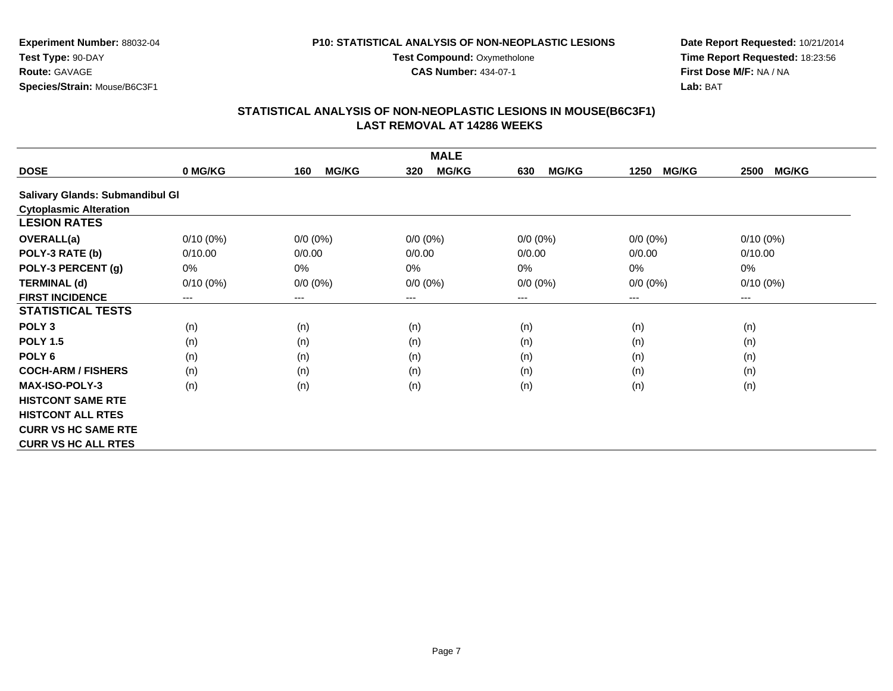**CAS Number:** 434-07-1

**Experiment Number:** 88032-04**Test Type:** 90-DAY**Route:** GAVAGE**Species/Strain:** Mouse/B6C3F1

### **Date Report Requested:** 10/21/2014 **Time Report Requested:** 18:23:56**First Dose M/F:** NA / NA**Lab:** BAT

|                                 |             |                     | <b>MALE</b>         |                     |                      |                      |
|---------------------------------|-------------|---------------------|---------------------|---------------------|----------------------|----------------------|
| <b>DOSE</b>                     | 0 MG/KG     | <b>MG/KG</b><br>160 | <b>MG/KG</b><br>320 | <b>MG/KG</b><br>630 | <b>MG/KG</b><br>1250 | <b>MG/KG</b><br>2500 |
| Salivary Glands: Submandibul Gl |             |                     |                     |                     |                      |                      |
| <b>Cytoplasmic Alteration</b>   |             |                     |                     |                     |                      |                      |
| <b>LESION RATES</b>             |             |                     |                     |                     |                      |                      |
| <b>OVERALL(a)</b>               | $0/10(0\%)$ | $0/0 (0\%)$         | $0/0 (0\%)$         | $0/0 (0\%)$         | $0/0 (0\%)$          | $0/10(0\%)$          |
| POLY-3 RATE (b)                 | 0/10.00     | 0/0.00              | 0/0.00              | 0/0.00              | 0/0.00               | 0/10.00              |
| POLY-3 PERCENT (g)              | 0%          | $0\%$               | 0%                  | $0\%$               | 0%                   | 0%                   |
| <b>TERMINAL (d)</b>             | $0/10(0\%)$ | $0/0 (0\%)$         | $0/0 (0\%)$         | $0/0 (0\%)$         | $0/0 (0\%)$          | $0/10(0\%)$          |
| <b>FIRST INCIDENCE</b>          | ---         | ---                 | $---$               | ---                 | ---                  | ---                  |
| <b>STATISTICAL TESTS</b>        |             |                     |                     |                     |                      |                      |
| POLY <sub>3</sub>               | (n)         | (n)                 | (n)                 | (n)                 | (n)                  | (n)                  |
| <b>POLY 1.5</b>                 | (n)         | (n)                 | (n)                 | (n)                 | (n)                  | (n)                  |
| POLY <sub>6</sub>               | (n)         | (n)                 | (n)                 | (n)                 | (n)                  | (n)                  |
| <b>COCH-ARM / FISHERS</b>       | (n)         | (n)                 | (n)                 | (n)                 | (n)                  | (n)                  |
| <b>MAX-ISO-POLY-3</b>           | (n)         | (n)                 | (n)                 | (n)                 | (n)                  | (n)                  |
| <b>HISTCONT SAME RTE</b>        |             |                     |                     |                     |                      |                      |
| <b>HISTCONT ALL RTES</b>        |             |                     |                     |                     |                      |                      |
| <b>CURR VS HC SAME RTE</b>      |             |                     |                     |                     |                      |                      |
| <b>CURR VS HC ALL RTES</b>      |             |                     |                     |                     |                      |                      |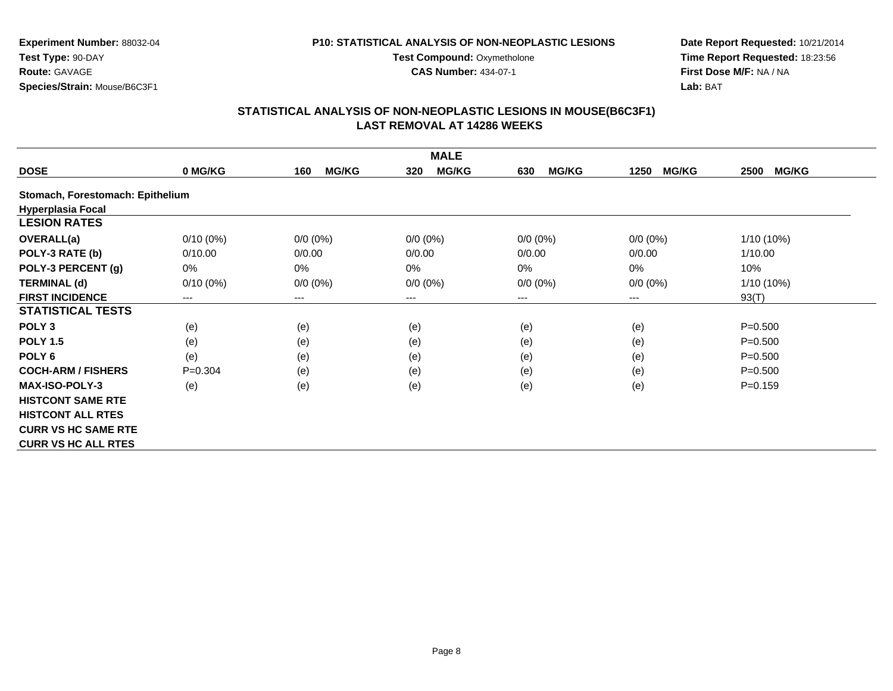**CAS Number:** 434-07-1

**Experiment Number:** 88032-04**Test Type:** 90-DAY**Route:** GAVAGE**Species/Strain:** Mouse/B6C3F1

**Date Report Requested:** 10/21/2014 **Time Report Requested:** 18:23:56**First Dose M/F:** NA / NA**Lab:** BAT

|                                  |             |                     | <b>MALE</b>                |                     |                      |                      |
|----------------------------------|-------------|---------------------|----------------------------|---------------------|----------------------|----------------------|
| <b>DOSE</b>                      | 0 MG/KG     | <b>MG/KG</b><br>160 | <b>MG/KG</b><br>320        | <b>MG/KG</b><br>630 | <b>MG/KG</b><br>1250 | <b>MG/KG</b><br>2500 |
| Stomach, Forestomach: Epithelium |             |                     |                            |                     |                      |                      |
| <b>Hyperplasia Focal</b>         |             |                     |                            |                     |                      |                      |
| <b>LESION RATES</b>              |             |                     |                            |                     |                      |                      |
| <b>OVERALL(a)</b>                | $0/10(0\%)$ | $0/0 (0\%)$         | $0/0 (0\%)$                | $0/0 (0\%)$         | $0/0 (0\%)$          | $1/10(10\%)$         |
| POLY-3 RATE (b)                  | 0/10.00     | 0/0.00              | 0/0.00                     | 0/0.00              | 0/0.00               | 1/10.00              |
| POLY-3 PERCENT (g)               | 0%          | 0%                  | $0\%$                      | $0\%$               | 0%                   | 10%                  |
| <b>TERMINAL (d)</b>              | $0/10(0\%)$ | $0/0 (0\%)$         | $0/0 (0\%)$                | $0/0 (0\%)$         | $0/0 (0\%)$          | $1/10(10\%)$         |
| <b>FIRST INCIDENCE</b>           | ---         | ---                 | $\qquad \qquad - \qquad -$ | ---                 | ---                  | 93(T)                |
| <b>STATISTICAL TESTS</b>         |             |                     |                            |                     |                      |                      |
| POLY <sub>3</sub>                | (e)         | (e)                 | (e)                        | (e)                 | (e)                  | $P = 0.500$          |
| <b>POLY 1.5</b>                  | (e)         | (e)                 | (e)                        | (e)                 | (e)                  | $P = 0.500$          |
| POLY <sub>6</sub>                | (e)         | (e)                 | (e)                        | (e)                 | (e)                  | $P = 0.500$          |
| <b>COCH-ARM / FISHERS</b>        | $P=0.304$   | (e)                 | (e)                        | (e)                 | (e)                  | $P = 0.500$          |
| <b>MAX-ISO-POLY-3</b>            | (e)         | (e)                 | (e)                        | (e)                 | (e)                  | $P=0.159$            |
| <b>HISTCONT SAME RTE</b>         |             |                     |                            |                     |                      |                      |
| <b>HISTCONT ALL RTES</b>         |             |                     |                            |                     |                      |                      |
| <b>CURR VS HC SAME RTE</b>       |             |                     |                            |                     |                      |                      |
| <b>CURR VS HC ALL RTES</b>       |             |                     |                            |                     |                      |                      |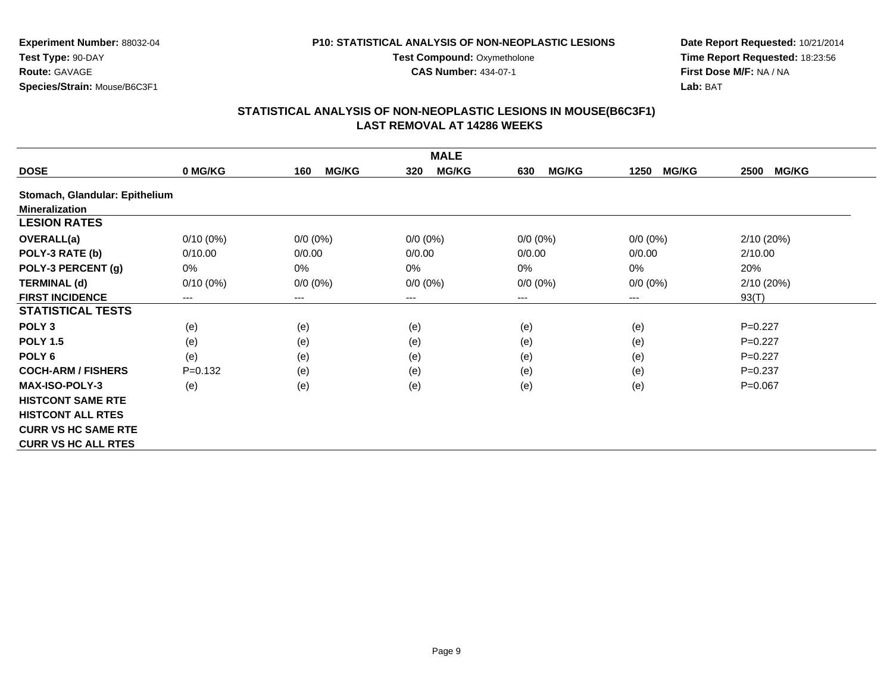#### **P10: STATISTICAL ANALYSIS OF NON-NEOPLASTIC LESIONS**

**Test Compound: Oxymetholone CAS Number:** 434-07-1

**Experiment Number:** 88032-04**Test Type:** 90-DAY**Route:** GAVAGE**Species/Strain:** Mouse/B6C3F1

### **Date Report Requested:** 10/21/2014 **Time Report Requested:** 18:23:56**First Dose M/F:** NA / NA**Lab:** BAT

|                                |             |                     | <b>MALE</b>         |                     |                      |                      |
|--------------------------------|-------------|---------------------|---------------------|---------------------|----------------------|----------------------|
| <b>DOSE</b>                    | 0 MG/KG     | <b>MG/KG</b><br>160 | <b>MG/KG</b><br>320 | <b>MG/KG</b><br>630 | 1250<br><b>MG/KG</b> | <b>MG/KG</b><br>2500 |
| Stomach, Glandular: Epithelium |             |                     |                     |                     |                      |                      |
| <b>Mineralization</b>          |             |                     |                     |                     |                      |                      |
| <b>LESION RATES</b>            |             |                     |                     |                     |                      |                      |
| <b>OVERALL(a)</b>              | $0/10(0\%)$ | $0/0 (0\%)$         | $0/0 (0\%)$         | $0/0 (0\%)$         | $0/0 (0\%)$          | 2/10(20%)            |
| POLY-3 RATE (b)                | 0/10.00     | 0/0.00              | 0/0.00              | 0/0.00              | 0/0.00               | 2/10.00              |
| POLY-3 PERCENT (g)             | 0%          | 0%                  | 0%                  | $0\%$               | 0%                   | 20%                  |
| <b>TERMINAL (d)</b>            | $0/10(0\%)$ | $0/0 (0\%)$         | $0/0 (0\%)$         | $0/0 (0\%)$         | $0/0 (0\%)$          | 2/10(20%)            |
| <b>FIRST INCIDENCE</b>         | $---$       | ---                 | $--$                | ---                 | ---                  | 93(T)                |
| <b>STATISTICAL TESTS</b>       |             |                     |                     |                     |                      |                      |
| POLY <sub>3</sub>              | (e)         | (e)                 | (e)                 | (e)                 | (e)                  | $P=0.227$            |
| <b>POLY 1.5</b>                | (e)         | (e)                 | (e)                 | (e)                 | (e)                  | $P=0.227$            |
| POLY <sub>6</sub>              | (e)         | (e)                 | (e)                 | (e)                 | (e)                  | $P=0.227$            |
| <b>COCH-ARM / FISHERS</b>      | $P = 0.132$ | (e)                 | (e)                 | (e)                 | (e)                  | $P = 0.237$          |
| <b>MAX-ISO-POLY-3</b>          | (e)         | (e)                 | (e)                 | (e)                 | (e)                  | $P=0.067$            |
| <b>HISTCONT SAME RTE</b>       |             |                     |                     |                     |                      |                      |
| <b>HISTCONT ALL RTES</b>       |             |                     |                     |                     |                      |                      |
| <b>CURR VS HC SAME RTE</b>     |             |                     |                     |                     |                      |                      |
| <b>CURR VS HC ALL RTES</b>     |             |                     |                     |                     |                      |                      |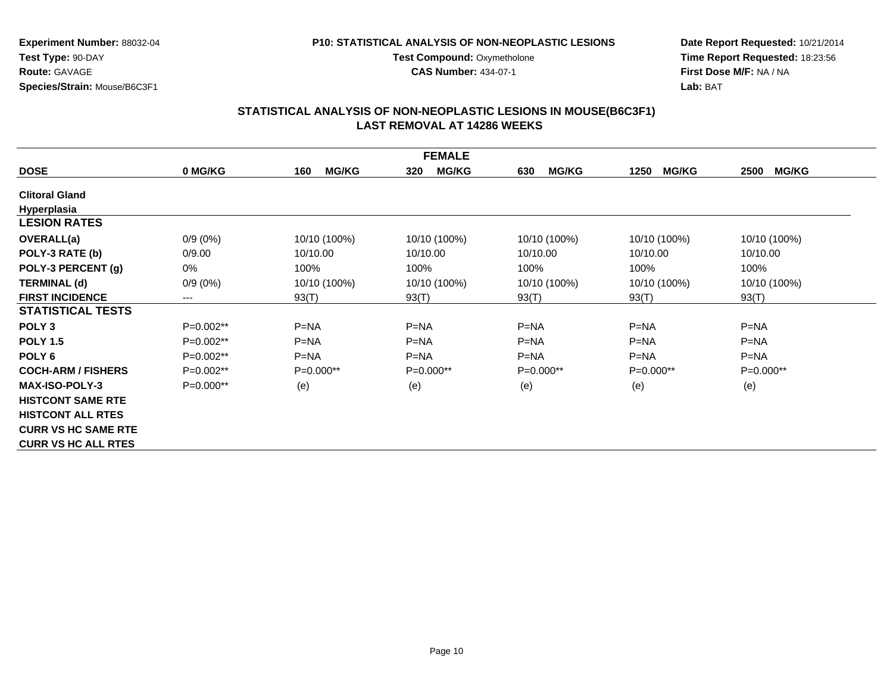#### **P10: STATISTICAL ANALYSIS OF NON-NEOPLASTIC LESIONS**

**Test Compound: Oxymetholone CAS Number:** 434-07-1

**Date Report Requested:** 10/21/2014**Time Report Requested:** 18:23:56**First Dose M/F:** NA / NA**Lab:** BAT

|                            |             |                     | <b>FEMALE</b>       |                     |                      |                      |
|----------------------------|-------------|---------------------|---------------------|---------------------|----------------------|----------------------|
| <b>DOSE</b>                | 0 MG/KG     | <b>MG/KG</b><br>160 | <b>MG/KG</b><br>320 | <b>MG/KG</b><br>630 | <b>MG/KG</b><br>1250 | <b>MG/KG</b><br>2500 |
| <b>Clitoral Gland</b>      |             |                     |                     |                     |                      |                      |
| Hyperplasia                |             |                     |                     |                     |                      |                      |
| <b>LESION RATES</b>        |             |                     |                     |                     |                      |                      |
| <b>OVERALL(a)</b>          | $0/9(0\%)$  | 10/10 (100%)        | 10/10 (100%)        | 10/10 (100%)        | 10/10 (100%)         | 10/10 (100%)         |
| POLY-3 RATE (b)            | 0/9.00      | 10/10.00            | 10/10.00            | 10/10.00            | 10/10.00             | 10/10.00             |
| POLY-3 PERCENT (g)         | 0%          | 100%                | 100%                | 100%                | 100%                 | 100%                 |
| <b>TERMINAL (d)</b>        | $0/9(0\%)$  | 10/10 (100%)        | 10/10 (100%)        | 10/10 (100%)        | 10/10 (100%)         | 10/10 (100%)         |
| <b>FIRST INCIDENCE</b>     | ---         | 93(T)               | 93(T)               | 93(T)               | 93(T)                | 93(T)                |
| <b>STATISTICAL TESTS</b>   |             |                     |                     |                     |                      |                      |
| POLY <sub>3</sub>          | P=0.002**   | $P = NA$            | $P=NA$              | $P=NA$              | $P = NA$             | $P=NA$               |
| <b>POLY 1.5</b>            | $P=0.002**$ | $P=NA$              | $P=NA$              | $P=NA$              | $P=NA$               | $P=NA$               |
| POLY <sub>6</sub>          | P=0.002**   | $P = NA$            | $P = NA$            | $P = NA$            | $P = NA$             | $P = NA$             |
| <b>COCH-ARM / FISHERS</b>  | $P=0.002**$ | $P=0.000**$         | P=0.000**           | $P=0.000**$         | $P=0.000**$          | $P=0.000**$          |
| <b>MAX-ISO-POLY-3</b>      | $P=0.000**$ | (e)                 | (e)                 | (e)                 | (e)                  | (e)                  |
| <b>HISTCONT SAME RTE</b>   |             |                     |                     |                     |                      |                      |
| <b>HISTCONT ALL RTES</b>   |             |                     |                     |                     |                      |                      |
| <b>CURR VS HC SAME RTE</b> |             |                     |                     |                     |                      |                      |
| <b>CURR VS HC ALL RTES</b> |             |                     |                     |                     |                      |                      |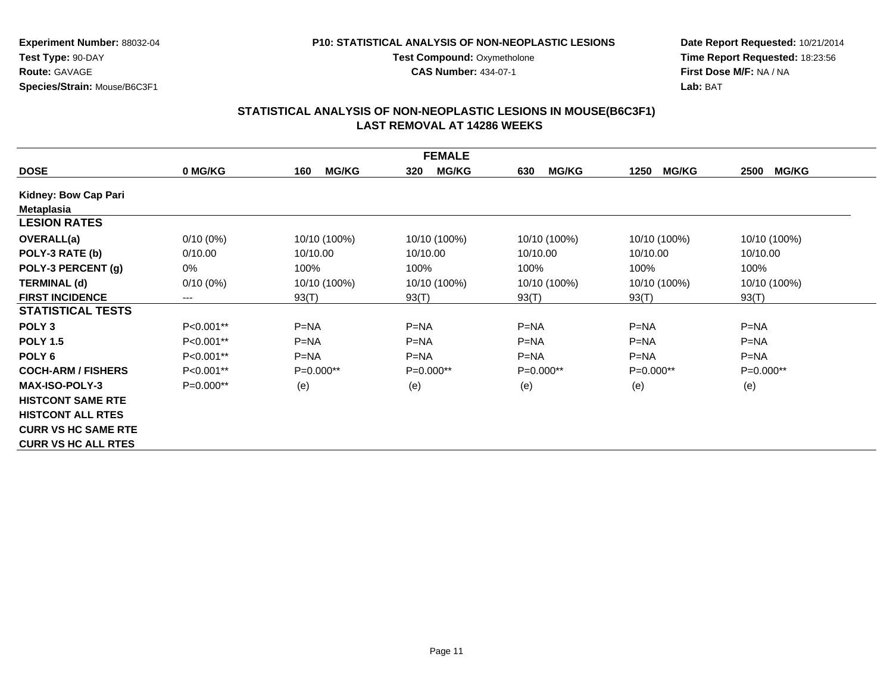#### **P10: STATISTICAL ANALYSIS OF NON-NEOPLASTIC LESIONS**

**Test Compound: Oxymetholone** 

**CAS Number:** 434-07-1

**Date Report Requested:** 10/21/2014 **Time Report Requested:** 18:23:56**First Dose M/F:** NA / NA**Lab:** BAT

|                            |             |                     | <b>FEMALE</b>       |                     |                      |                      |
|----------------------------|-------------|---------------------|---------------------|---------------------|----------------------|----------------------|
| <b>DOSE</b>                | 0 MG/KG     | <b>MG/KG</b><br>160 | <b>MG/KG</b><br>320 | <b>MG/KG</b><br>630 | <b>MG/KG</b><br>1250 | <b>MG/KG</b><br>2500 |
| Kidney: Bow Cap Pari       |             |                     |                     |                     |                      |                      |
| <b>Metaplasia</b>          |             |                     |                     |                     |                      |                      |
| <b>LESION RATES</b>        |             |                     |                     |                     |                      |                      |
| <b>OVERALL(a)</b>          | $0/10(0\%)$ | 10/10 (100%)        | 10/10 (100%)        | 10/10 (100%)        | 10/10 (100%)         | 10/10 (100%)         |
| POLY-3 RATE (b)            | 0/10.00     | 10/10.00            | 10/10.00            | 10/10.00            | 10/10.00             | 10/10.00             |
| POLY-3 PERCENT (g)         | 0%          | 100%                | 100%                | 100%                | 100%                 | 100%                 |
| <b>TERMINAL (d)</b>        | $0/10(0\%)$ | 10/10 (100%)        | 10/10 (100%)        | 10/10 (100%)        | 10/10 (100%)         | 10/10 (100%)         |
| <b>FIRST INCIDENCE</b>     | $---$       | 93(T)               | 93(T)               | 93(T)               | 93(T)                | 93(T)                |
| <b>STATISTICAL TESTS</b>   |             |                     |                     |                     |                      |                      |
| POLY <sub>3</sub>          | $P<0.001**$ | $P=NA$              | $P=NA$              | $P=NA$              | $P=NA$               | $P = NA$             |
| <b>POLY 1.5</b>            | P<0.001**   | $P = NA$            | $P = NA$            | $P=NA$              | $P = NA$             | $P = NA$             |
| POLY <sub>6</sub>          | P<0.001**   | $P=NA$              | $P = NA$            | $P=NA$              | $P=NA$               | $P = NA$             |
| <b>COCH-ARM / FISHERS</b>  | P<0.001**   | $P=0.000**$         | $P=0.000**$         | $P=0.000**$         | $P=0.000**$          | $P=0.000**$          |
| <b>MAX-ISO-POLY-3</b>      | P=0.000**   | (e)                 | (e)                 | (e)                 | (e)                  | (e)                  |
| <b>HISTCONT SAME RTE</b>   |             |                     |                     |                     |                      |                      |
| <b>HISTCONT ALL RTES</b>   |             |                     |                     |                     |                      |                      |
| <b>CURR VS HC SAME RTE</b> |             |                     |                     |                     |                      |                      |
| <b>CURR VS HC ALL RTES</b> |             |                     |                     |                     |                      |                      |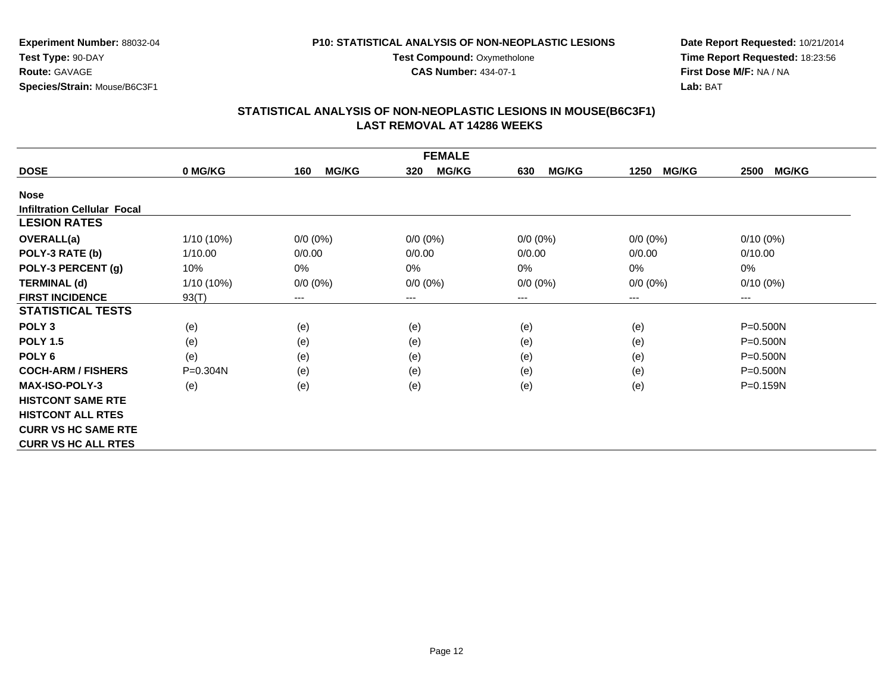**Experiment Number:** 88032-04

**Test Type:** 90-DAY**Route:** GAVAGE**Species/Strain:** Mouse/B6C3F1

#### **P10: STATISTICAL ANALYSIS OF NON-NEOPLASTIC LESIONS**

**Test Compound: Oxymetholone** 

**CAS Number:** 434-07-1

**Date Report Requested:** 10/21/2014**Time Report Requested:** 18:23:56**First Dose M/F:** NA / NA**Lab:** BAT

|                                    |              |                     | <b>FEMALE</b>       |                     |                      |                      |
|------------------------------------|--------------|---------------------|---------------------|---------------------|----------------------|----------------------|
| <b>DOSE</b>                        | 0 MG/KG      | <b>MG/KG</b><br>160 | <b>MG/KG</b><br>320 | <b>MG/KG</b><br>630 | <b>MG/KG</b><br>1250 | <b>MG/KG</b><br>2500 |
| <b>Nose</b>                        |              |                     |                     |                     |                      |                      |
| <b>Infiltration Cellular Focal</b> |              |                     |                     |                     |                      |                      |
| <b>LESION RATES</b>                |              |                     |                     |                     |                      |                      |
| <b>OVERALL(a)</b>                  | 1/10 (10%)   | $0/0 (0\%)$         | $0/0(0\%)$          | $0/0 (0\%)$         | $0/0 (0\%)$          | $0/10(0\%)$          |
| POLY-3 RATE (b)                    | 1/10.00      | 0/0.00              | 0/0.00              | 0/0.00              | 0/0.00               | 0/10.00              |
| POLY-3 PERCENT (g)                 | 10%          | 0%                  | 0%                  | 0%                  | 0%                   | 0%                   |
| <b>TERMINAL (d)</b>                | $1/10(10\%)$ | $0/0 (0\%)$         | $0/0 (0\%)$         | $0/0 (0\%)$         | $0/0 (0\%)$          | $0/10(0\%)$          |
| <b>FIRST INCIDENCE</b>             | 93(T)        | ---                 | $--$                | ---                 | ---                  | ---                  |
| <b>STATISTICAL TESTS</b>           |              |                     |                     |                     |                      |                      |
| POLY <sub>3</sub>                  | (e)          | (e)                 | (e)                 | (e)                 | (e)                  | $P = 0.500N$         |
| <b>POLY 1.5</b>                    | (e)          | (e)                 | (e)                 | (e)                 | (e)                  | P=0.500N             |
| POLY 6                             | (e)          | (e)                 | (e)                 | (e)                 | (e)                  | P=0.500N             |
| <b>COCH-ARM / FISHERS</b>          | P=0.304N     | (e)                 | (e)                 | (e)                 | (e)                  | $P = 0.500N$         |
| <b>MAX-ISO-POLY-3</b>              | (e)          | (e)                 | (e)                 | (e)                 | (e)                  | $P = 0.159N$         |
| <b>HISTCONT SAME RTE</b>           |              |                     |                     |                     |                      |                      |
| <b>HISTCONT ALL RTES</b>           |              |                     |                     |                     |                      |                      |
| <b>CURR VS HC SAME RTE</b>         |              |                     |                     |                     |                      |                      |
| <b>CURR VS HC ALL RTES</b>         |              |                     |                     |                     |                      |                      |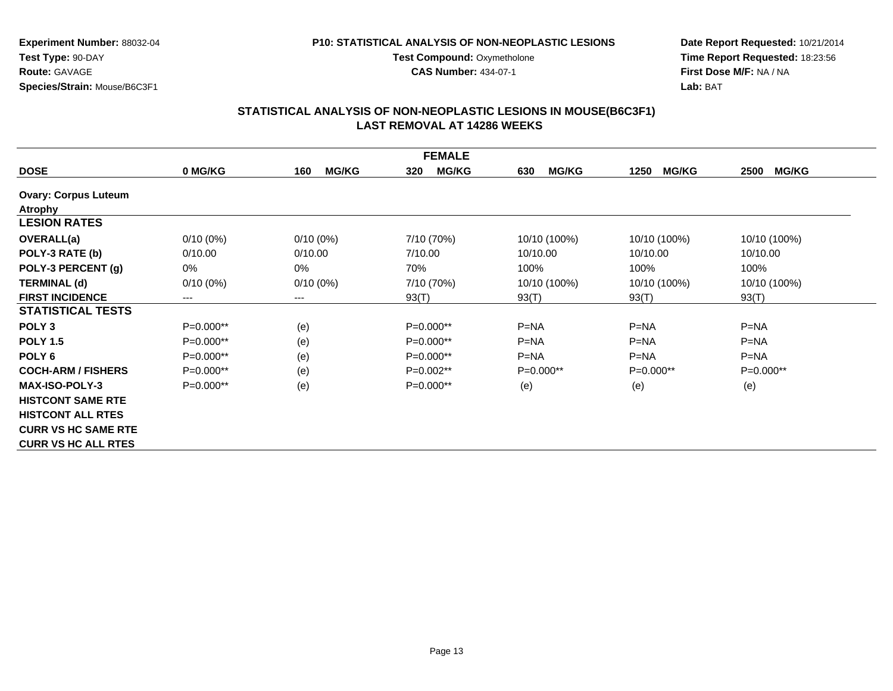#### **P10: STATISTICAL ANALYSIS OF NON-NEOPLASTIC LESIONS**

**Test Compound: Oxymetholone** 

**CAS Number:** 434-07-1

**Date Report Requested:** 10/21/2014**Time Report Requested:** 18:23:56**First Dose M/F:** NA / NA**Lab:** BAT

|                             |             |                        | <b>FEMALE</b>       |                     |                      |                      |
|-----------------------------|-------------|------------------------|---------------------|---------------------|----------------------|----------------------|
| <b>DOSE</b>                 | 0 MG/KG     | <b>MG/KG</b><br>160    | <b>MG/KG</b><br>320 | <b>MG/KG</b><br>630 | <b>MG/KG</b><br>1250 | <b>MG/KG</b><br>2500 |
| <b>Ovary: Corpus Luteum</b> |             |                        |                     |                     |                      |                      |
| Atrophy                     |             |                        |                     |                     |                      |                      |
| <b>LESION RATES</b>         |             |                        |                     |                     |                      |                      |
| <b>OVERALL(a)</b>           | $0/10(0\%)$ | $0/10(0\%)$            | 7/10 (70%)          | 10/10 (100%)        | 10/10 (100%)         | 10/10 (100%)         |
| POLY-3 RATE (b)             | 0/10.00     | 0/10.00                | 7/10.00             | 10/10.00            | 10/10.00             | 10/10.00             |
| POLY-3 PERCENT (g)          | 0%          | $0\%$                  | 70%                 | 100%                | 100%                 | 100%                 |
| <b>TERMINAL (d)</b>         | $0/10(0\%)$ | $0/10(0\%)$            | 7/10 (70%)          | 10/10 (100%)        | 10/10 (100%)         | 10/10 (100%)         |
| <b>FIRST INCIDENCE</b>      | ---         | $\qquad \qquad \cdots$ | 93(T)               | 93(T)               | 93(T)                | 93(T)                |
| <b>STATISTICAL TESTS</b>    |             |                        |                     |                     |                      |                      |
| POLY <sub>3</sub>           | P=0.000**   | (e)                    | P=0.000**           | $P=NA$              | $P=NA$               | $P=NA$               |
| <b>POLY 1.5</b>             | $P=0.000**$ | (e)                    | $P=0.000**$         | $P = NA$            | $P = NA$             | $P = NA$             |
| POLY <sub>6</sub>           | $P=0.000**$ | (e)                    | $P=0.000**$         | $P=NA$              | $P=NA$               | $P=NA$               |
| <b>COCH-ARM / FISHERS</b>   | $P=0.000**$ | (e)                    | $P=0.002**$         | $P=0.000**$         | $P=0.000**$          | $P=0.000**$          |
| <b>MAX-ISO-POLY-3</b>       | $P=0.000**$ | (e)                    | $P=0.000**$         | (e)                 | (e)                  | (e)                  |
| <b>HISTCONT SAME RTE</b>    |             |                        |                     |                     |                      |                      |
| <b>HISTCONT ALL RTES</b>    |             |                        |                     |                     |                      |                      |
| <b>CURR VS HC SAME RTE</b>  |             |                        |                     |                     |                      |                      |
| <b>CURR VS HC ALL RTES</b>  |             |                        |                     |                     |                      |                      |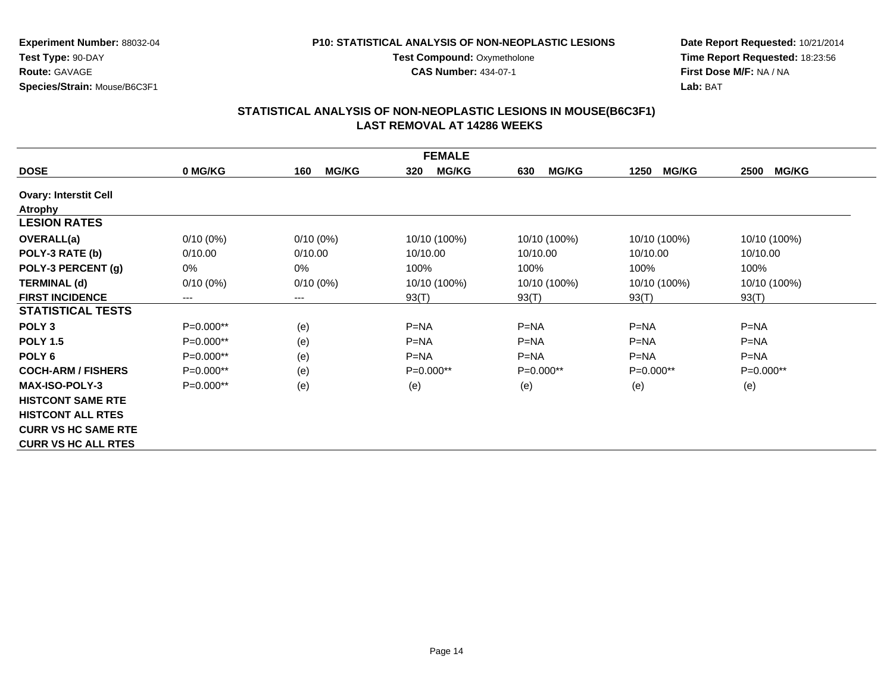#### **P10: STATISTICAL ANALYSIS OF NON-NEOPLASTIC LESIONS**

**Test Compound: Oxymetholone** 

**CAS Number:** 434-07-1

**Date Report Requested:** 10/21/2014 **Time Report Requested:** 18:23:56**First Dose M/F:** NA / NA**Lab:** BAT

| <b>FEMALE</b>                |             |                        |                     |                     |                      |                      |
|------------------------------|-------------|------------------------|---------------------|---------------------|----------------------|----------------------|
| <b>DOSE</b>                  | 0 MG/KG     | <b>MG/KG</b><br>160    | <b>MG/KG</b><br>320 | <b>MG/KG</b><br>630 | <b>MG/KG</b><br>1250 | <b>MG/KG</b><br>2500 |
| <b>Ovary: Interstit Cell</b> |             |                        |                     |                     |                      |                      |
| Atrophy                      |             |                        |                     |                     |                      |                      |
| <b>LESION RATES</b>          |             |                        |                     |                     |                      |                      |
| <b>OVERALL(a)</b>            | $0/10(0\%)$ | $0/10(0\%)$            | 10/10 (100%)        | 10/10 (100%)        | 10/10 (100%)         | 10/10 (100%)         |
| POLY-3 RATE (b)              | 0/10.00     | 0/10.00                | 10/10.00            | 10/10.00            | 10/10.00             | 10/10.00             |
| POLY-3 PERCENT (g)           | 0%          | $0\%$                  | 100%                | 100%                | 100%                 | 100%                 |
| <b>TERMINAL (d)</b>          | $0/10(0\%)$ | $0/10(0\%)$            | 10/10 (100%)        | 10/10 (100%)        | 10/10 (100%)         | 10/10 (100%)         |
| <b>FIRST INCIDENCE</b>       | ---         | $\qquad \qquad \cdots$ | 93(T)               | 93(T)               | 93(T)                | 93(T)                |
| <b>STATISTICAL TESTS</b>     |             |                        |                     |                     |                      |                      |
| POLY <sub>3</sub>            | P=0.000**   | (e)                    | $P=NA$              | $P=NA$              | $P=NA$               | $P = NA$             |
| <b>POLY 1.5</b>              | $P=0.000**$ | (e)                    | $P = NA$            | $P = NA$            | $P = NA$             | $P = NA$             |
| POLY <sub>6</sub>            | $P=0.000**$ | (e)                    | $P = NA$            | $P = NA$            | $P=NA$               | $P = NA$             |
| <b>COCH-ARM / FISHERS</b>    | $P=0.000**$ | (e)                    | $P=0.000**$         | $P=0.000**$         | $P=0.000**$          | $P=0.000**$          |
| <b>MAX-ISO-POLY-3</b>        | $P=0.000**$ | (e)                    | (e)                 | (e)                 | (e)                  | (e)                  |
| <b>HISTCONT SAME RTE</b>     |             |                        |                     |                     |                      |                      |
| <b>HISTCONT ALL RTES</b>     |             |                        |                     |                     |                      |                      |
| <b>CURR VS HC SAME RTE</b>   |             |                        |                     |                     |                      |                      |
| <b>CURR VS HC ALL RTES</b>   |             |                        |                     |                     |                      |                      |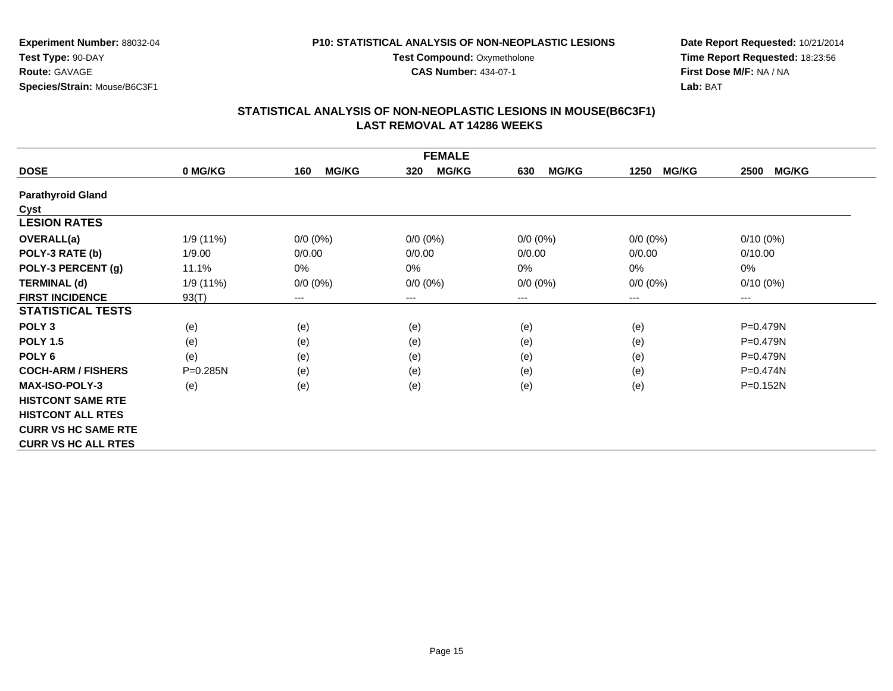#### **P10: STATISTICAL ANALYSIS OF NON-NEOPLASTIC LESIONS**

**Test Compound: Oxymetholone CAS Number:** 434-07-1

**Experiment Number:** 88032-04**Test Type:** 90-DAY**Route:** GAVAGE**Species/Strain:** Mouse/B6C3F1

### **Date Report Requested:** 10/21/2014 **Time Report Requested:** 18:23:56**First Dose M/F:** NA / NA**Lab:** BAT

| <b>FEMALE</b>              |              |                     |                        |                     |                      |                      |
|----------------------------|--------------|---------------------|------------------------|---------------------|----------------------|----------------------|
| <b>DOSE</b>                | 0 MG/KG      | <b>MG/KG</b><br>160 | <b>MG/KG</b><br>320    | <b>MG/KG</b><br>630 | <b>MG/KG</b><br>1250 | <b>MG/KG</b><br>2500 |
| <b>Parathyroid Gland</b>   |              |                     |                        |                     |                      |                      |
| Cyst                       |              |                     |                        |                     |                      |                      |
| <b>LESION RATES</b>        |              |                     |                        |                     |                      |                      |
| <b>OVERALL(a)</b>          | 1/9 (11%)    | $0/0 (0\%)$         | $0/0 (0\%)$            | $0/0 (0\%)$         | $0/0 (0\%)$          | $0/10(0\%)$          |
| POLY-3 RATE (b)            | 1/9.00       | 0/0.00              | 0/0.00                 | 0/0.00              | 0/0.00               | 0/10.00              |
| POLY-3 PERCENT (g)         | 11.1%        | 0%                  | 0%                     | $0\%$               | 0%                   | 0%                   |
| <b>TERMINAL (d)</b>        | 1/9 (11%)    | $0/0 (0\%)$         | $0/0 (0\%)$            | $0/0 (0\%)$         | $0/0 (0\%)$          | $0/10(0\%)$          |
| <b>FIRST INCIDENCE</b>     | 93(T)        | ---                 | $\qquad \qquad \cdots$ | ---                 | ---                  | ---                  |
| <b>STATISTICAL TESTS</b>   |              |                     |                        |                     |                      |                      |
| POLY <sub>3</sub>          | (e)          | (e)                 | (e)                    | (e)                 | (e)                  | P=0.479N             |
| <b>POLY 1.5</b>            | (e)          | (e)                 | (e)                    | (e)                 | (e)                  | $P = 0.479N$         |
| POLY <sub>6</sub>          | (e)          | (e)                 | (e)                    | (e)                 | (e)                  | $P = 0.479N$         |
| <b>COCH-ARM / FISHERS</b>  | $P = 0.285N$ | (e)                 | (e)                    | (e)                 | (e)                  | $P = 0.474N$         |
| <b>MAX-ISO-POLY-3</b>      | (e)          | (e)                 | (e)                    | (e)                 | (e)                  | P=0.152N             |
| <b>HISTCONT SAME RTE</b>   |              |                     |                        |                     |                      |                      |
| <b>HISTCONT ALL RTES</b>   |              |                     |                        |                     |                      |                      |
| <b>CURR VS HC SAME RTE</b> |              |                     |                        |                     |                      |                      |
| <b>CURR VS HC ALL RTES</b> |              |                     |                        |                     |                      |                      |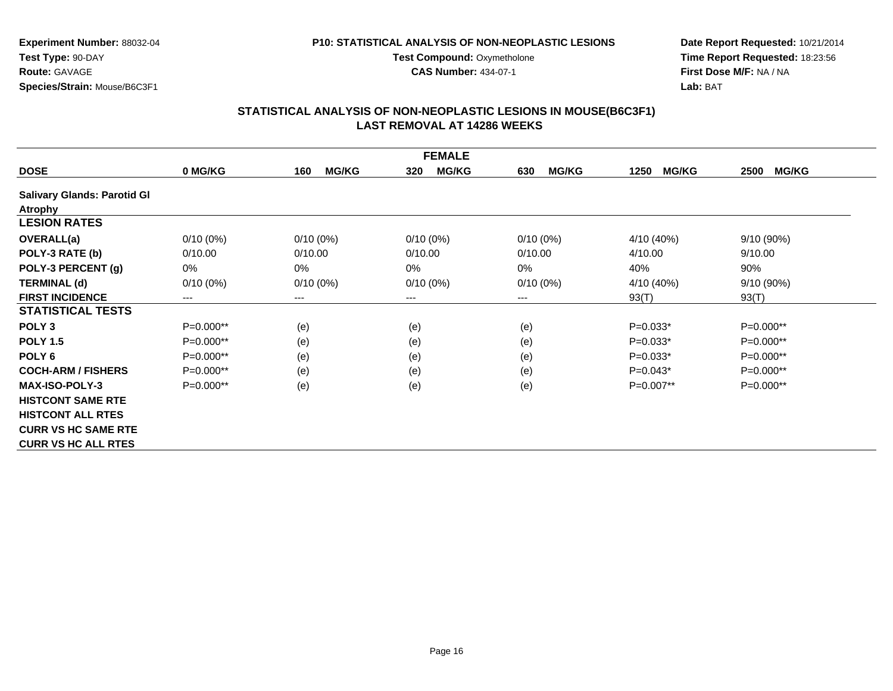#### **P10: STATISTICAL ANALYSIS OF NON-NEOPLASTIC LESIONS**

**Test Compound: Oxymetholone** 

**CAS Number:** 434-07-1

**Date Report Requested:** 10/21/2014**Time Report Requested:** 18:23:56**First Dose M/F:** NA / NA**Lab:** BAT

| <b>FEMALE</b>                      |             |                            |                     |                     |                      |                      |
|------------------------------------|-------------|----------------------------|---------------------|---------------------|----------------------|----------------------|
| <b>DOSE</b>                        | 0 MG/KG     | <b>MG/KG</b><br>160        | <b>MG/KG</b><br>320 | <b>MG/KG</b><br>630 | <b>MG/KG</b><br>1250 | <b>MG/KG</b><br>2500 |
| <b>Salivary Glands: Parotid Gl</b> |             |                            |                     |                     |                      |                      |
| <b>Atrophy</b>                     |             |                            |                     |                     |                      |                      |
| <b>LESION RATES</b>                |             |                            |                     |                     |                      |                      |
| <b>OVERALL(a)</b>                  | $0/10(0\%)$ | $0/10(0\%)$                | $0/10(0\%)$         | $0/10(0\%)$         | 4/10 (40%)           | 9/10 (90%)           |
| POLY-3 RATE (b)                    | 0/10.00     | 0/10.00                    | 0/10.00             | 0/10.00             | 4/10.00              | 9/10.00              |
| POLY-3 PERCENT (g)                 | 0%          | 0%                         | $0\%$               | 0%                  | 40%                  | 90%                  |
| <b>TERMINAL (d)</b>                | $0/10(0\%)$ | $0/10(0\%)$                | $0/10(0\%)$         | $0/10(0\%)$         | 4/10 (40%)           | 9/10 (90%)           |
| <b>FIRST INCIDENCE</b>             | ---         | $\qquad \qquad - \qquad -$ | $---$               | ---                 | 93(T)                | 93(T)                |
| <b>STATISTICAL TESTS</b>           |             |                            |                     |                     |                      |                      |
| POLY <sub>3</sub>                  | P=0.000**   | (e)                        | (e)                 | (e)                 | $P=0.033*$           | P=0.000**            |
| <b>POLY 1.5</b>                    | $P=0.000**$ | (e)                        | (e)                 | (e)                 | $P=0.033*$           | $P=0.000**$          |
| POLY <sub>6</sub>                  | $P=0.000**$ | (e)                        | (e)                 | (e)                 | $P=0.033*$           | $P=0.000**$          |
| <b>COCH-ARM / FISHERS</b>          | $P=0.000**$ | (e)                        | (e)                 | (e)                 | $P=0.043*$           | P=0.000**            |
| <b>MAX-ISO-POLY-3</b>              | P=0.000**   | (e)                        | (e)                 | (e)                 | P=0.007**            | P=0.000**            |
| <b>HISTCONT SAME RTE</b>           |             |                            |                     |                     |                      |                      |
| <b>HISTCONT ALL RTES</b>           |             |                            |                     |                     |                      |                      |
| <b>CURR VS HC SAME RTE</b>         |             |                            |                     |                     |                      |                      |
| <b>CURR VS HC ALL RTES</b>         |             |                            |                     |                     |                      |                      |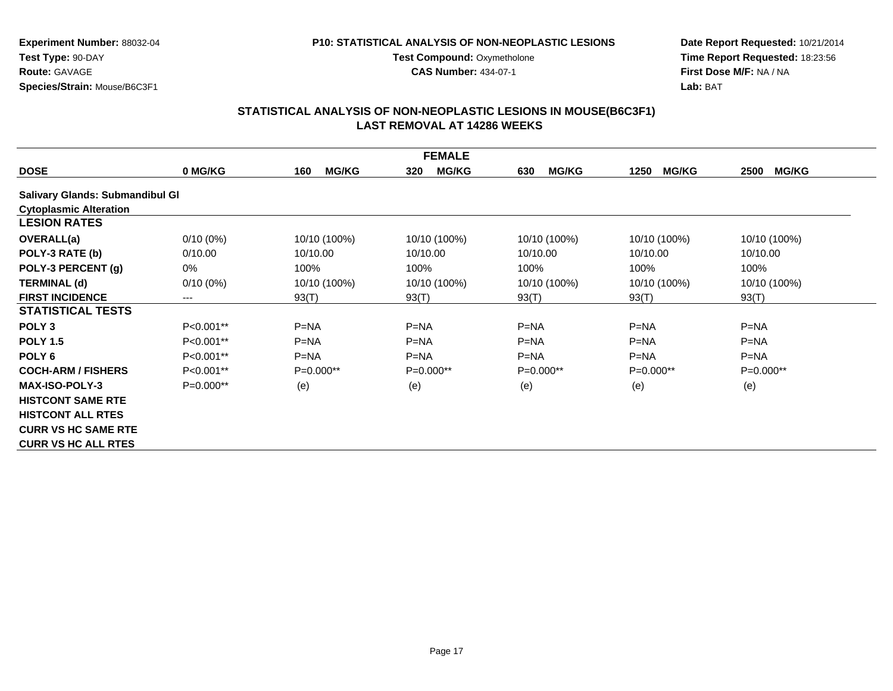#### **P10: STATISTICAL ANALYSIS OF NON-NEOPLASTIC LESIONS**

**Test Compound: Oxymetholone** 

**CAS Number:** 434-07-1

**Date Report Requested:** 10/21/2014 **Time Report Requested:** 18:23:56**First Dose M/F:** NA / NA**Lab:** BAT

|                                        |             |                     | <b>FEMALE</b>       |                     |                      |                      |
|----------------------------------------|-------------|---------------------|---------------------|---------------------|----------------------|----------------------|
| <b>DOSE</b>                            | 0 MG/KG     | <b>MG/KG</b><br>160 | <b>MG/KG</b><br>320 | <b>MG/KG</b><br>630 | <b>MG/KG</b><br>1250 | <b>MG/KG</b><br>2500 |
| <b>Salivary Glands: Submandibul Gl</b> |             |                     |                     |                     |                      |                      |
| <b>Cytoplasmic Alteration</b>          |             |                     |                     |                     |                      |                      |
| <b>LESION RATES</b>                    |             |                     |                     |                     |                      |                      |
| <b>OVERALL(a)</b>                      | $0/10(0\%)$ | 10/10 (100%)        | 10/10 (100%)        | 10/10 (100%)        | 10/10 (100%)         | 10/10 (100%)         |
| POLY-3 RATE (b)                        | 0/10.00     | 10/10.00            | 10/10.00            | 10/10.00            | 10/10.00             | 10/10.00             |
| POLY-3 PERCENT (g)                     | 0%          | 100%                | 100%                | 100%                | 100%                 | 100%                 |
| <b>TERMINAL (d)</b>                    | $0/10(0\%)$ | 10/10 (100%)        | 10/10 (100%)        | 10/10 (100%)        | 10/10 (100%)         | 10/10 (100%)         |
| <b>FIRST INCIDENCE</b>                 | ---         | 93(T)               | 93(T)               | 93(T)               | 93(T)                | 93(T)                |
| <b>STATISTICAL TESTS</b>               |             |                     |                     |                     |                      |                      |
| POLY <sub>3</sub>                      | $P<0.001**$ | $P=NA$              | $P=NA$              | $P=NA$              | $P=NA$               | $P=NA$               |
| <b>POLY 1.5</b>                        | P<0.001**   | $P=NA$              | $P=NA$              | $P=NA$              | $P=NA$               | $P=NA$               |
| POLY 6                                 | P<0.001**   | $P=NA$              | $P=NA$              | $P=NA$              | $P=NA$               | $P = NA$             |
| <b>COCH-ARM / FISHERS</b>              | P<0.001**   | $P=0.000**$         | $P=0.000**$         | $P=0.000**$         | $P=0.000**$          | $P=0.000**$          |
| <b>MAX-ISO-POLY-3</b>                  | $P=0.000**$ | (e)                 | (e)                 | (e)                 | (e)                  | (e)                  |
| <b>HISTCONT SAME RTE</b>               |             |                     |                     |                     |                      |                      |
| <b>HISTCONT ALL RTES</b>               |             |                     |                     |                     |                      |                      |
| <b>CURR VS HC SAME RTE</b>             |             |                     |                     |                     |                      |                      |
| <b>CURR VS HC ALL RTES</b>             |             |                     |                     |                     |                      |                      |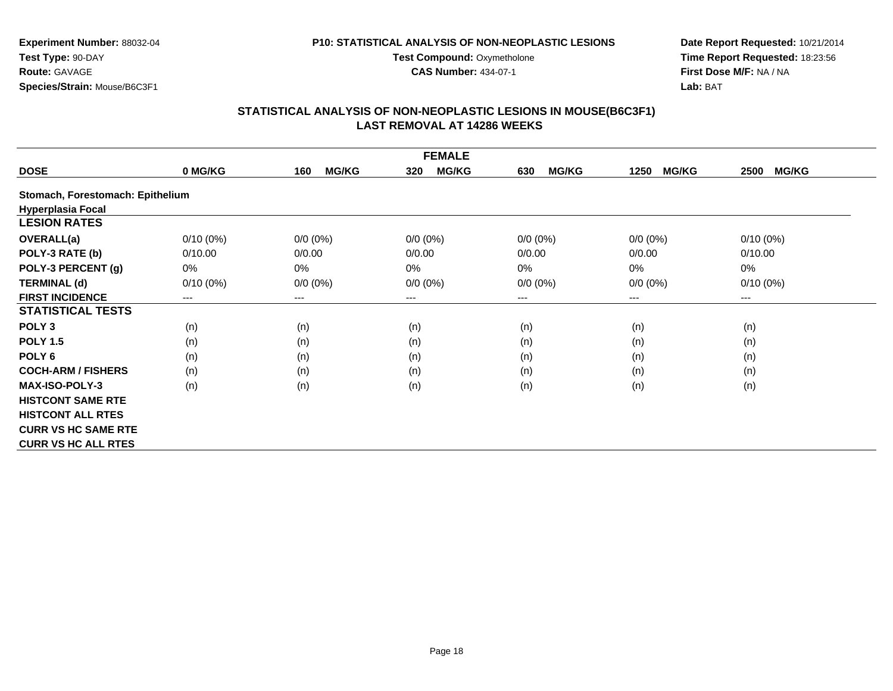#### **P10: STATISTICAL ANALYSIS OF NON-NEOPLASTIC LESIONS**

**Test Compound: Oxymetholone** 

**CAS Number:** 434-07-1

**Date Report Requested:** 10/21/2014**Time Report Requested:** 18:23:56**First Dose M/F:** NA / NA**Lab:** BAT

| <b>FEMALE</b>                    |             |                     |                     |                     |                      |                      |
|----------------------------------|-------------|---------------------|---------------------|---------------------|----------------------|----------------------|
| <b>DOSE</b>                      | 0 MG/KG     | <b>MG/KG</b><br>160 | <b>MG/KG</b><br>320 | <b>MG/KG</b><br>630 | <b>MG/KG</b><br>1250 | <b>MG/KG</b><br>2500 |
| Stomach, Forestomach: Epithelium |             |                     |                     |                     |                      |                      |
| <b>Hyperplasia Focal</b>         |             |                     |                     |                     |                      |                      |
| <b>LESION RATES</b>              |             |                     |                     |                     |                      |                      |
| <b>OVERALL(a)</b>                | $0/10(0\%)$ | $0/0 (0\%)$         | $0/0 (0\%)$         | $0/0 (0\%)$         | $0/0 (0\%)$          | $0/10(0\%)$          |
| POLY-3 RATE (b)                  | 0/10.00     | 0/0.00              | 0/0.00              | 0/0.00              | 0/0.00               | 0/10.00              |
| POLY-3 PERCENT (g)               | 0%          | 0%                  | 0%                  | $0\%$               | 0%                   | $0\%$                |
| <b>TERMINAL (d)</b>              | $0/10(0\%)$ | $0/0 (0\%)$         | $0/0 (0\%)$         | $0/0 (0\%)$         | $0/0 (0\%)$          | $0/10(0\%)$          |
| <b>FIRST INCIDENCE</b>           | ---         | $---$               | $--$                | ---                 | ---                  | ---                  |
| <b>STATISTICAL TESTS</b>         |             |                     |                     |                     |                      |                      |
| POLY <sub>3</sub>                | (n)         | (n)                 | (n)                 | (n)                 | (n)                  | (n)                  |
| <b>POLY 1.5</b>                  | (n)         | (n)                 | (n)                 | (n)                 | (n)                  | (n)                  |
| POLY <sub>6</sub>                | (n)         | (n)                 | (n)                 | (n)                 | (n)                  | (n)                  |
| <b>COCH-ARM / FISHERS</b>        | (n)         | (n)                 | (n)                 | (n)                 | (n)                  | (n)                  |
| <b>MAX-ISO-POLY-3</b>            | (n)         | (n)                 | (n)                 | (n)                 | (n)                  | (n)                  |
| <b>HISTCONT SAME RTE</b>         |             |                     |                     |                     |                      |                      |
| <b>HISTCONT ALL RTES</b>         |             |                     |                     |                     |                      |                      |
| <b>CURR VS HC SAME RTE</b>       |             |                     |                     |                     |                      |                      |
| <b>CURR VS HC ALL RTES</b>       |             |                     |                     |                     |                      |                      |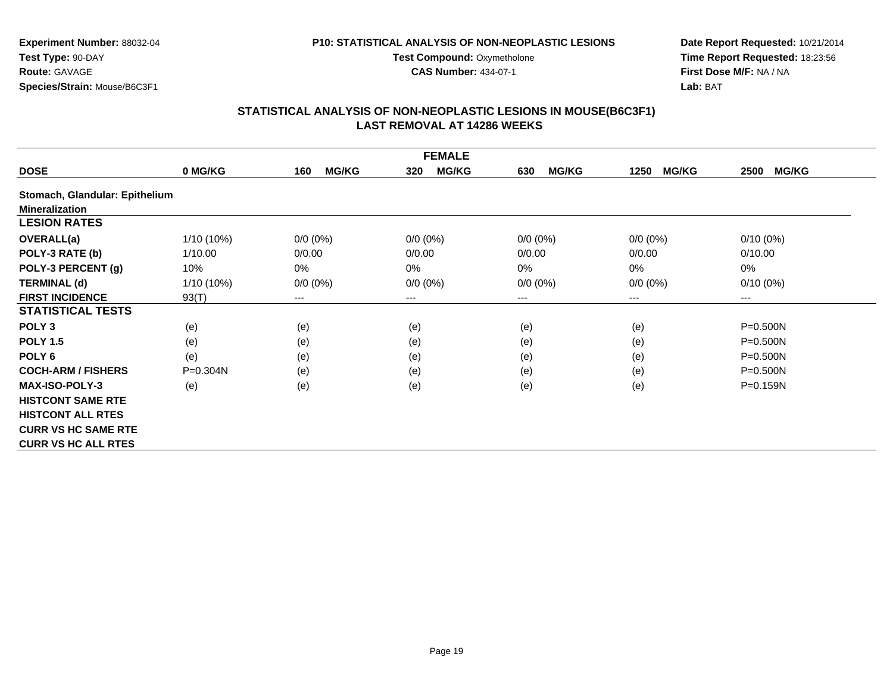#### **P10: STATISTICAL ANALYSIS OF NON-NEOPLASTIC LESIONS**

**Test Compound: Oxymetholone** 

**CAS Number:** 434-07-1

**Date Report Requested:** 10/21/2014**Time Report Requested:** 18:23:56**First Dose M/F:** NA / NA**Lab:** BAT

| <b>FEMALE</b>                  |              |                     |                     |                     |                      |                      |
|--------------------------------|--------------|---------------------|---------------------|---------------------|----------------------|----------------------|
| <b>DOSE</b>                    | 0 MG/KG      | <b>MG/KG</b><br>160 | <b>MG/KG</b><br>320 | <b>MG/KG</b><br>630 | <b>MG/KG</b><br>1250 | <b>MG/KG</b><br>2500 |
| Stomach, Glandular: Epithelium |              |                     |                     |                     |                      |                      |
| <b>Mineralization</b>          |              |                     |                     |                     |                      |                      |
| <b>LESION RATES</b>            |              |                     |                     |                     |                      |                      |
| <b>OVERALL(a)</b>              | 1/10 (10%)   | $0/0 (0\%)$         | $0/0 (0\%)$         | $0/0 (0\%)$         | $0/0 (0\%)$          | $0/10(0\%)$          |
| POLY-3 RATE (b)                | 1/10.00      | 0/0.00              | 0/0.00              | 0/0.00              | 0/0.00               | 0/10.00              |
| POLY-3 PERCENT (g)             | 10%          | 0%                  | $0\%$               | $0\%$               | 0%                   | 0%                   |
| <b>TERMINAL (d)</b>            | $1/10(10\%)$ | $0/0 (0\%)$         | $0/0 (0\%)$         | $0/0 (0\%)$         | $0/0 (0\%)$          | $0/10(0\%)$          |
| <b>FIRST INCIDENCE</b>         | 93(T)        | ---                 | $--$                | $---$               | ---                  | ---                  |
| <b>STATISTICAL TESTS</b>       |              |                     |                     |                     |                      |                      |
| POLY <sub>3</sub>              | (e)          | (e)                 | (e)                 | (e)                 | (e)                  | $P = 0.500N$         |
| <b>POLY 1.5</b>                | (e)          | (e)                 | (e)                 | (e)                 | (e)                  | $P = 0.500N$         |
| POLY 6                         | (e)          | (e)                 | (e)                 | (e)                 | (e)                  | P=0.500N             |
| <b>COCH-ARM / FISHERS</b>      | P=0.304N     | (e)                 | (e)                 | (e)                 | (e)                  | P=0.500N             |
| <b>MAX-ISO-POLY-3</b>          | (e)          | (e)                 | (e)                 | (e)                 | (e)                  | $P = 0.159N$         |
| <b>HISTCONT SAME RTE</b>       |              |                     |                     |                     |                      |                      |
| <b>HISTCONT ALL RTES</b>       |              |                     |                     |                     |                      |                      |
| <b>CURR VS HC SAME RTE</b>     |              |                     |                     |                     |                      |                      |
| <b>CURR VS HC ALL RTES</b>     |              |                     |                     |                     |                      |                      |